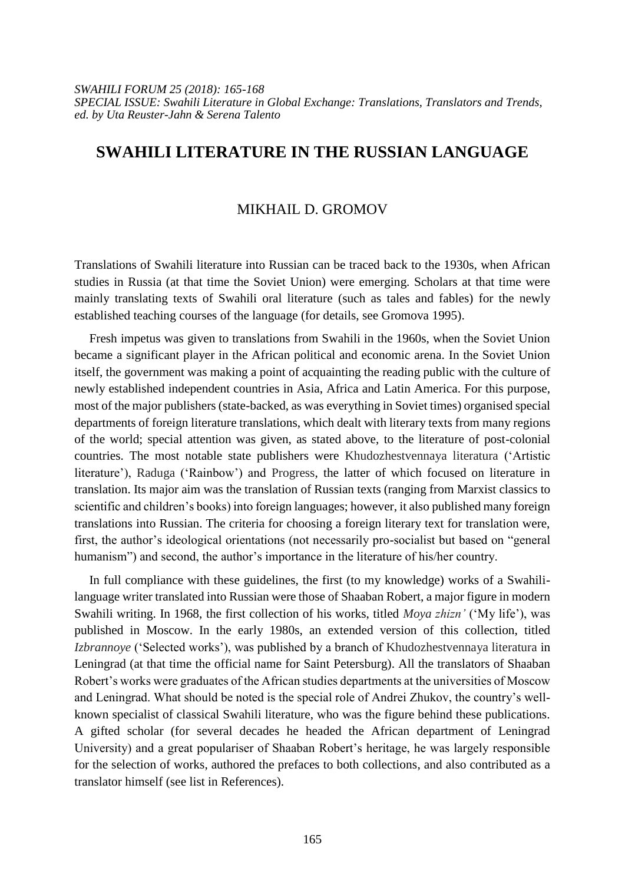*SWAHILI FORUM 25 (2018): 165-168 SPECIAL ISSUE: Swahili Literature in Global Exchange: Translations, Translators and Trends, ed. by Uta Reuster-Jahn & Serena Talento*

# **SWAHILI LITERATURE IN THE RUSSIAN LANGUAGE**

### MIKHAIL D. GROMOV

Translations of Swahili literature into Russian can be traced back to the 1930s, when African studies in Russia (at that time the Soviet Union) were emerging. Scholars at that time were mainly translating texts of Swahili oral literature (such as tales and fables) for the newly established teaching courses of the language (for details, see Gromova 1995).

Fresh impetus was given to translations from Swahili in the 1960s, when the Soviet Union became a significant player in the African political and economic arena. In the Soviet Union itself, the government was making a point of acquainting the reading public with the culture of newly established independent countries in Asia, Africa and Latin America. For this purpose, most of the major publishers (state-backed, as was everything in Soviet times) organised special departments of foreign literature translations, which dealt with literary texts from many regions of the world; special attention was given, as stated above, to the literature of post-colonial countries. The most notable state publishers were Khudozhestvennaya literatura ('Artistic literature'), Raduga ('Rainbow') and Progress, the latter of which focused on literature in translation. Its major aim was the translation of Russian texts (ranging from Marxist classics to scientific and children's books) into foreign languages; however, it also published many foreign translations into Russian. The criteria for choosing a foreign literary text for translation were, first, the author's ideological orientations (not necessarily pro-socialist but based on "general humanism") and second, the author's importance in the literature of his/her country.

In full compliance with these guidelines, the first (to my knowledge) works of a Swahililanguage writer translated into Russian were those of Shaaban Robert, a major figure in modern Swahili writing. In 1968, the first collection of his works, titled *Moya zhizn'* ('My life'), was published in Moscow. In the early 1980s, an extended version of this collection, titled *Izbrannoye* ('Selected works'), was published by a branch of Khudozhestvennaya literatura in Leningrad (at that time the official name for Saint Petersburg). All the translators of Shaaban Robert's works were graduates of the African studies departments at the universities of Moscow and Leningrad. What should be noted is the special role of Andrei Zhukov, the country's wellknown specialist of classical Swahili literature, who was the figure behind these publications. A gifted scholar (for several decades he headed the African department of Leningrad University) and a great populariser of Shaaban Robert's heritage, he was largely responsible for the selection of works, authored the prefaces to both collections, and also contributed as a translator himself (see list in References).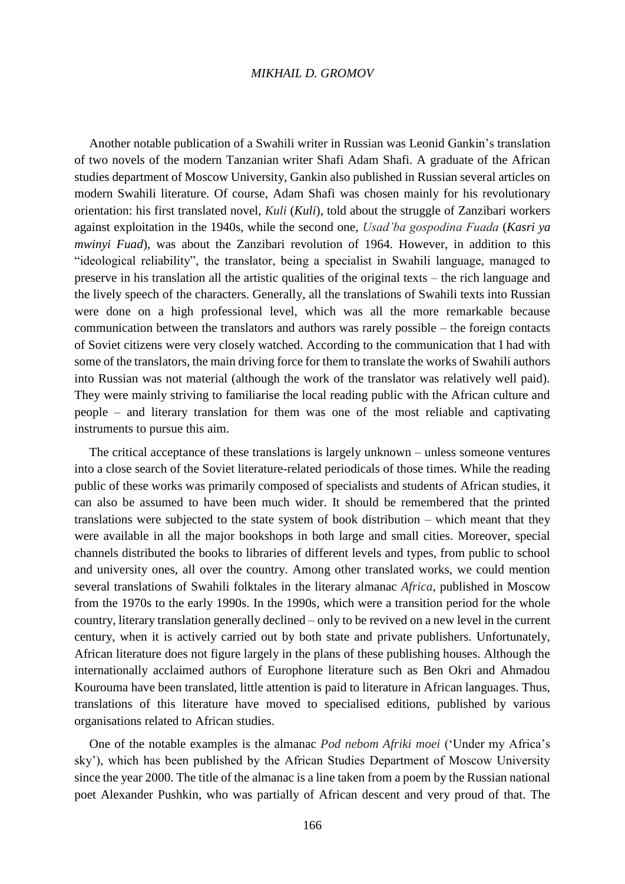#### *MIKHAIL D. GROMOV*

Another notable publication of a Swahili writer in Russian was Leonid Gankin's translation of two novels of the modern Tanzanian writer Shafi Adam Shafi. A graduate of the African studies department of Moscow University, Gankin also published in Russian several articles on modern Swahili literature. Of course, Adam Shafi was chosen mainly for his revolutionary orientation: his first translated novel, *Kuli* (*Kuli*), told about the struggle of Zanzibari workers against exploitation in the 1940s, while the second one, *Usad'ba gospodina Fuada* (*Kasri ya mwinyi Fuad*), was about the Zanzibari revolution of 1964. However, in addition to this "ideological reliability", the translator, being a specialist in Swahili language, managed to preserve in his translation all the artistic qualities of the original texts – the rich language and the lively speech of the characters. Generally, all the translations of Swahili texts into Russian were done on a high professional level, which was all the more remarkable because communication between the translators and authors was rarely possible – the foreign contacts of Soviet citizens were very closely watched. According to the communication that I had with some of the translators, the main driving force for them to translate the works of Swahili authors into Russian was not material (although the work of the translator was relatively well paid). They were mainly striving to familiarise the local reading public with the African culture and people – and literary translation for them was one of the most reliable and captivating instruments to pursue this aim.

The critical acceptance of these translations is largely unknown – unless someone ventures into a close search of the Soviet literature-related periodicals of those times. While the reading public of these works was primarily composed of specialists and students of African studies, it can also be assumed to have been much wider. It should be remembered that the printed translations were subjected to the state system of book distribution – which meant that they were available in all the major bookshops in both large and small cities. Moreover, special channels distributed the books to libraries of different levels and types, from public to school and university ones, all over the country. Among other translated works, we could mention several translations of Swahili folktales in the literary almanac *Africa*, published in Moscow from the 1970s to the early 1990s. In the 1990s, which were a transition period for the whole country, literary translation generally declined – only to be revived on a new level in the current century, when it is actively carried out by both state and private publishers. Unfortunately, African literature does not figure largely in the plans of these publishing houses. Although the internationally acclaimed authors of Europhone literature such as Ben Okri and Ahmadou Kourouma have been translated, little attention is paid to literature in African languages. Thus, translations of this literature have moved to specialised editions, published by various organisations related to African studies.

One of the notable examples is the almanac *Pod nebom Afriki moei* ('Under my Africa's sky'), which has been published by the African Studies Department of Moscow University since the year 2000. The title of the almanac is a line taken from a poem by the Russian national poet Alexander Pushkin, who was partially of African descent and very proud of that. The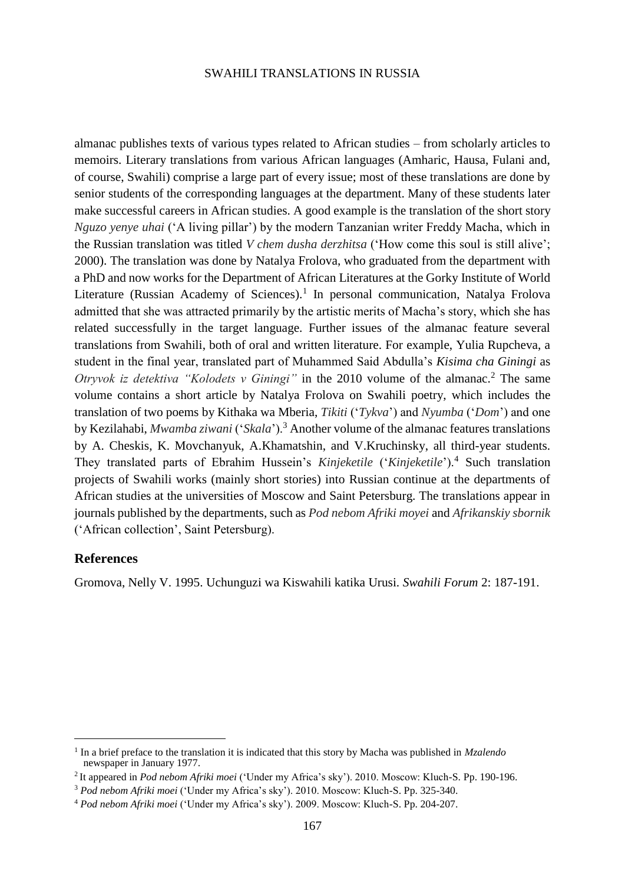#### SWAHILI TRANSLATIONS IN RUSSIA

almanac publishes texts of various types related to African studies – from scholarly articles to memoirs. Literary translations from various African languages (Amharic, Hausa, Fulani and, of course, Swahili) comprise a large part of every issue; most of these translations are done by senior students of the corresponding languages at the department. Many of these students later make successful careers in African studies. A good example is the translation of the short story *Nguzo yenye uhai* ('A living pillar') by the modern Tanzanian writer Freddy Macha, which in the Russian translation was titled *V chem dusha derzhitsa* ('How come this soul is still alive'; 2000). The translation was done by Natalya Frolova, who graduated from the department with a PhD and now works for the Department of African Literatures at the Gorky Institute of World Literature (Russian Academy of Sciences).<sup>1</sup> In personal communication, Natalya Frolova admitted that she was attracted primarily by the artistic merits of Macha's story, which she has related successfully in the target language. Further issues of the almanac feature several translations from Swahili, both of oral and written literature. For example, Yulia Rupcheva, a student in the final year, translated part of Muhammed Said Abdulla's *Kisima cha Giningi* as *Otryvok iz detektiva "Kolodets v Giningi"* in the 2010 volume of the almanac.<sup>2</sup> The same volume contains a short article by Natalya Frolova on Swahili poetry, which includes the translation of two poems by Kithaka wa Mberia, *Tikiti* ('*Tykva*') and *Nyumba* ('*Dom*') and one by Kezilahabi, *Mwamba ziwani* ('*Skala*').<sup>3</sup> Another volume of the almanac features translations by A. Cheskis, K. Movchanyuk, A.Khamatshin, and V.Kruchinsky, all third-year students. They translated parts of Ebrahim Hussein's *Kinjeketile* ('*Kinjeketile*').<sup>4</sup> Such translation projects of Swahili works (mainly short stories) into Russian continue at the departments of African studies at the universities of Moscow and Saint Petersburg. The translations appear in journals published by the departments, such as *Pod nebom Afriki moyei* and *Afrikanskiy sbornik* ('African collection', Saint Petersburg).

## **References**

 $\overline{a}$ 

Gromova, Nelly V. 1995. Uchunguzi wa Kiswahili katika Urusi. *Swahili Forum* 2: 187-191.

<sup>&</sup>lt;sup>1</sup> In a brief preface to the translation it is indicated that this story by Macha was published in *Mzalendo* newspaper in January 1977.

<sup>2</sup> It appeared in *Pod nebom Afriki moei* ('Under my Africa's sky'). 2010. Moscow: Kluch-S. Pp. 190-196.

<sup>3</sup> *Pod nebom Afriki moei* ('Under my Africa's sky'). 2010. Moscow: Kluch-S. Pp. 325-340.

<sup>4</sup> *Pod nebom Afriki moei* ('Under my Africa's sky'). 2009. Moscow: Kluch-S. Pp. 204-207.